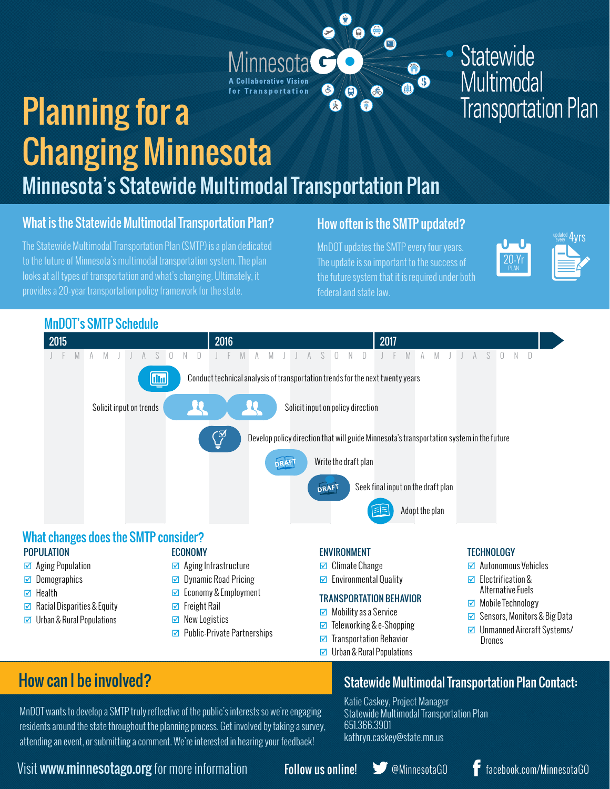## **Multimodal** S for Transportation **Transportation Plan** Planning for a Changing Minnesota Minnesota's Statewide Multimodal Transportation Plan

innesota

#### What is the Statewide Multimodal Transportation Plan?

The Statewide Multimodal Transportation Plan (SMTP) is a plan dedicated to the future of Minnesota's multimodal transportation system. The plan looks at all types of transportation and what's changing. Ultimately, it provides a 20-year transportation policy framework for the state.

#### How often is the SMTP updated?

MnDOT updates the SMTP every four years. The update is so important to the success of the future system that it is required under both federal and state law.



**Statewide** 



## How can I be involved?

MnDOT wants to develop a SMTP truly reflective of the public's interests so we're engaging residents around the state throughout the planning process. Get involved by taking a survey, attending an event, or submitting a comment. We're interested in hearing your feedback!

Visit www.minnesotago.org for more information

Katie Caskey, Project Manager

kathryn.caskey@state.mn.us

651.366.3901

Statewide Multimodal Transportation Plan



Statewide Multimodal Transportation Plan Contact: